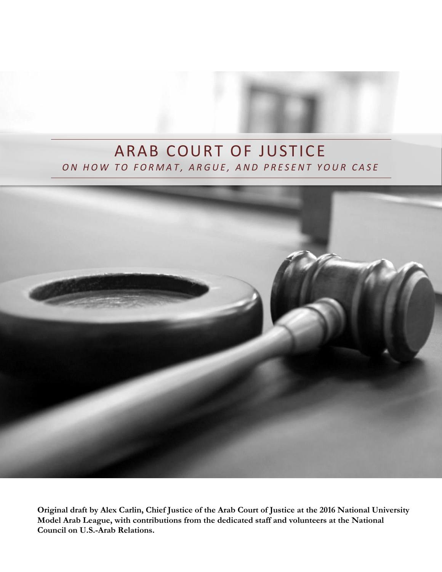# ARAB COURT OF JUSTICE *O N H O W T O F O R M A T , A R G U E , A N D P R E S E N T Y O U R C A S E*



**Original draft by Alex Carlin, Chief Justice of the Arab Court of Justice at the 2016 National University Model Arab League, with contributions from the dedicated staff and volunteers at the National Council on U.S.-Arab Relations.**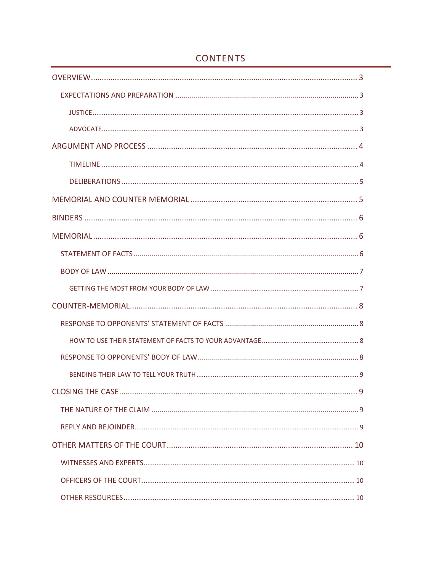<span id="page-1-0"></span>

# **CONTENTS**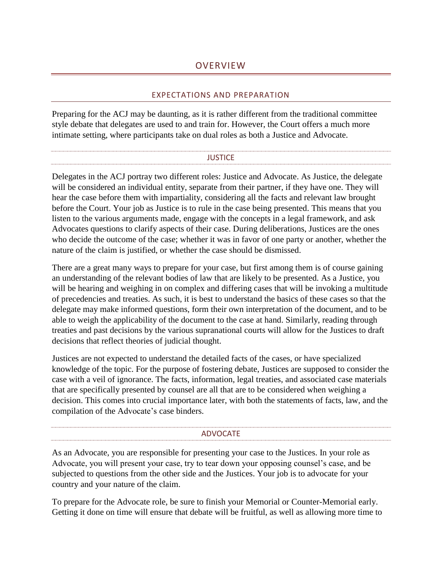#### **OVERVIEW**

#### EXPECTATIONS AND PREPARATION

<span id="page-2-0"></span>Preparing for the ACJ may be daunting, as it is rather different from the traditional committee style debate that delegates are used to and train for. However, the Court offers a much more intimate setting, where participants take on dual roles as both a Justice and Advocate.

#### **JUSTICE**

<span id="page-2-1"></span>Delegates in the ACJ portray two different roles: Justice and Advocate. As Justice, the delegate will be considered an individual entity, separate from their partner, if they have one. They will hear the case before them with impartiality, considering all the facts and relevant law brought before the Court. Your job as Justice is to rule in the case being presented. This means that you listen to the various arguments made, engage with the concepts in a legal framework, and ask Advocates questions to clarify aspects of their case. During deliberations, Justices are the ones who decide the outcome of the case; whether it was in favor of one party or another, whether the nature of the claim is justified, or whether the case should be dismissed.

There are a great many ways to prepare for your case, but first among them is of course gaining an understanding of the relevant bodies of law that are likely to be presented. As a Justice, you will be hearing and weighing in on complex and differing cases that will be invoking a multitude of precedencies and treaties. As such, it is best to understand the basics of these cases so that the delegate may make informed questions, form their own interpretation of the document, and to be able to weigh the applicability of the document to the case at hand. Similarly, reading through treaties and past decisions by the various supranational courts will allow for the Justices to draft decisions that reflect theories of judicial thought.

Justices are not expected to understand the detailed facts of the cases, or have specialized knowledge of the topic. For the purpose of fostering debate, Justices are supposed to consider the case with a veil of ignorance. The facts, information, legal treaties, and associated case materials that are specifically presented by counsel are all that are to be considered when weighing a decision. This comes into crucial importance later, with both the statements of facts, law, and the compilation of the Advocate's case binders.

#### ADVOCATE

<span id="page-2-2"></span>As an Advocate, you are responsible for presenting your case to the Justices. In your role as Advocate, you will present your case, try to tear down your opposing counsel's case, and be subjected to questions from the other side and the Justices. Your job is to advocate for your country and your nature of the claim.

To prepare for the Advocate role, be sure to finish your Memorial or Counter-Memorial early. Getting it done on time will ensure that debate will be fruitful, as well as allowing more time to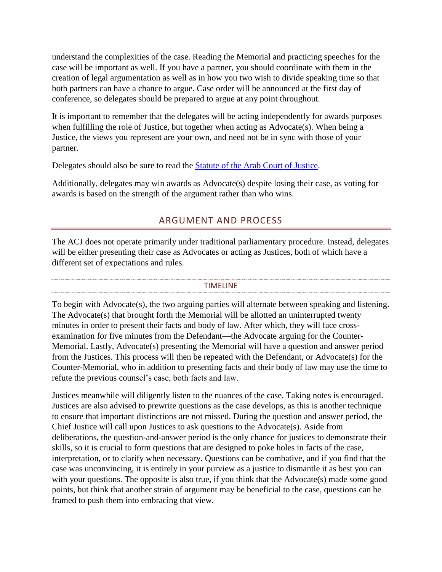understand the complexities of the case. Reading the Memorial and practicing speeches for the case will be important as well. If you have a partner, you should coordinate with them in the creation of legal argumentation as well as in how you two wish to divide speaking time so that both partners can have a chance to argue. Case order will be announced at the first day of conference, so delegates should be prepared to argue at any point throughout.

It is important to remember that the delegates will be acting independently for awards purposes when fulfilling the role of Justice, but together when acting as Advocate(s). When being a Justice, the views you represent are your own, and need not be in sync with those of your partner.

Delegates should also be sure to read the [Statute of the Arab Court of Justice.](http://ncusar.org/modelarableague/resources/Statute_of_the_ACJ.pdf)

<span id="page-3-0"></span>Additionally, delegates may win awards as Advocate(s) despite losing their case, as voting for awards is based on the strength of the argument rather than who wins.

# ARGUMENT AND PROCESS

The ACJ does not operate primarily under traditional parliamentary procedure. Instead, delegates will be either presenting their case as Advocates or acting as Justices, both of which have a different set of expectations and rules.

#### TIMELINE

<span id="page-3-1"></span>To begin with Advocate(s), the two arguing parties will alternate between speaking and listening. The Advocate(s) that brought forth the Memorial will be allotted an uninterrupted twenty minutes in order to present their facts and body of law. After which, they will face crossexamination for five minutes from the Defendant—the Advocate arguing for the Counter-Memorial. Lastly, Advocate(s) presenting the Memorial will have a question and answer period from the Justices. This process will then be repeated with the Defendant, or Advocate(s) for the Counter-Memorial, who in addition to presenting facts and their body of law may use the time to refute the previous counsel's case, both facts and law.

Justices meanwhile will diligently listen to the nuances of the case. Taking notes is encouraged. Justices are also advised to prewrite questions as the case develops, as this is another technique to ensure that important distinctions are not missed. During the question and answer period, the Chief Justice will call upon Justices to ask questions to the Advocate(s). Aside from deliberations, the question-and-answer period is the only chance for justices to demonstrate their skills, so it is crucial to form questions that are designed to poke holes in facts of the case, interpretation, or to clarify when necessary. Questions can be combative, and if you find that the case was unconvincing, it is entirely in your purview as a justice to dismantle it as best you can with your questions. The opposite is also true, if you think that the Advocate(s) made some good points, but think that another strain of argument may be beneficial to the case, questions can be framed to push them into embracing that view.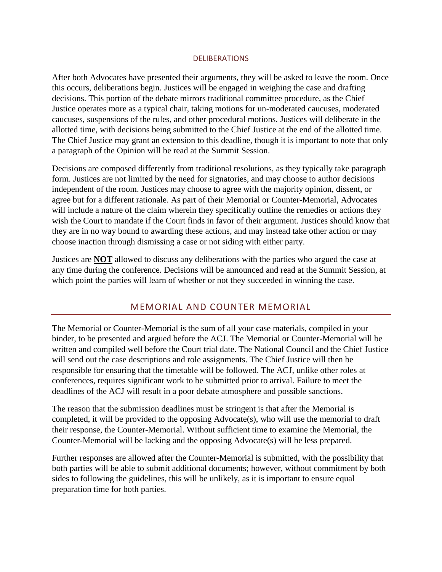#### **DELIBERATIONS**

<span id="page-4-0"></span>After both Advocates have presented their arguments, they will be asked to leave the room. Once this occurs, deliberations begin. Justices will be engaged in weighing the case and drafting decisions. This portion of the debate mirrors traditional committee procedure, as the Chief Justice operates more as a typical chair, taking motions for un-moderated caucuses, moderated caucuses, suspensions of the rules, and other procedural motions. Justices will deliberate in the allotted time, with decisions being submitted to the Chief Justice at the end of the allotted time. The Chief Justice may grant an extension to this deadline, though it is important to note that only a paragraph of the Opinion will be read at the Summit Session.

Decisions are composed differently from traditional resolutions, as they typically take paragraph form. Justices are not limited by the need for signatories, and may choose to author decisions independent of the room. Justices may choose to agree with the majority opinion, dissent, or agree but for a different rationale. As part of their Memorial or Counter-Memorial, Advocates will include a nature of the claim wherein they specifically outline the remedies or actions they wish the Court to mandate if the Court finds in favor of their argument. Justices should know that they are in no way bound to awarding these actions, and may instead take other action or may choose inaction through dismissing a case or not siding with either party.

Justices are **NOT** allowed to discuss any deliberations with the parties who argued the case at any time during the conference. Decisions will be announced and read at the Summit Session, at which point the parties will learn of whether or not they succeeded in winning the case.

# MEMORIAL AND COUNTER MEMORIAL

<span id="page-4-1"></span>The Memorial or Counter-Memorial is the sum of all your case materials, compiled in your binder, to be presented and argued before the ACJ. The Memorial or Counter-Memorial will be written and compiled well before the Court trial date. The National Council and the Chief Justice will send out the case descriptions and role assignments. The Chief Justice will then be responsible for ensuring that the timetable will be followed. The ACJ, unlike other roles at conferences, requires significant work to be submitted prior to arrival. Failure to meet the deadlines of the ACJ will result in a poor debate atmosphere and possible sanctions.

The reason that the submission deadlines must be stringent is that after the Memorial is completed, it will be provided to the opposing Advocate(s), who will use the memorial to draft their response, the Counter-Memorial. Without sufficient time to examine the Memorial, the Counter-Memorial will be lacking and the opposing Advocate(s) will be less prepared.

Further responses are allowed after the Counter-Memorial is submitted, with the possibility that both parties will be able to submit additional documents; however, without commitment by both sides to following the guidelines, this will be unlikely, as it is important to ensure equal preparation time for both parties.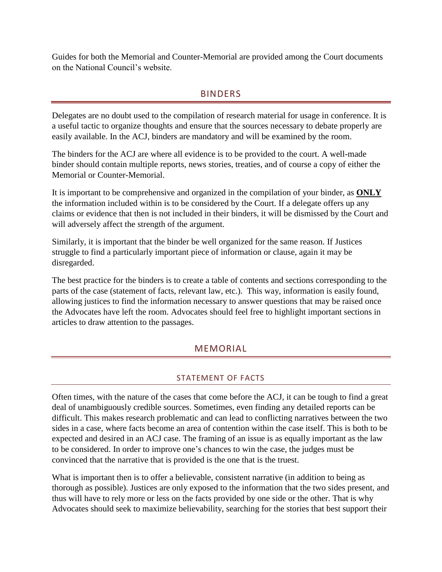<span id="page-5-0"></span>Guides for both the Memorial and Counter-Memorial are provided among the Court documents on the National Council's website.

### BINDERS

Delegates are no doubt used to the compilation of research material for usage in conference. It is a useful tactic to organize thoughts and ensure that the sources necessary to debate properly are easily available. In the ACJ, binders are mandatory and will be examined by the room.

The binders for the ACJ are where all evidence is to be provided to the court. A well-made binder should contain multiple reports, news stories, treaties, and of course a copy of either the Memorial or Counter-Memorial.

It is important to be comprehensive and organized in the compilation of your binder, as **ONLY** the information included within is to be considered by the Court. If a delegate offers up any claims or evidence that then is not included in their binders, it will be dismissed by the Court and will adversely affect the strength of the argument.

Similarly, it is important that the binder be well organized for the same reason. If Justices struggle to find a particularly important piece of information or clause, again it may be disregarded.

The best practice for the binders is to create a table of contents and sections corresponding to the parts of the case (statement of facts, relevant law, etc.). This way, information is easily found, allowing justices to find the information necessary to answer questions that may be raised once the Advocates have left the room. Advocates should feel free to highlight important sections in articles to draw attention to the passages.

# MEMORIAL

## STATEMENT OF FACTS

<span id="page-5-2"></span><span id="page-5-1"></span>Often times, with the nature of the cases that come before the ACJ, it can be tough to find a great deal of unambiguously credible sources. Sometimes, even finding any detailed reports can be difficult. This makes research problematic and can lead to conflicting narratives between the two sides in a case, where facts become an area of contention within the case itself. This is both to be expected and desired in an ACJ case. The framing of an issue is as equally important as the law to be considered. In order to improve one's chances to win the case, the judges must be convinced that the narrative that is provided is the one that is the truest.

What is important then is to offer a believable, consistent narrative (in addition to being as thorough as possible). Justices are only exposed to the information that the two sides present, and thus will have to rely more or less on the facts provided by one side or the other. That is why Advocates should seek to maximize believability, searching for the stories that best support their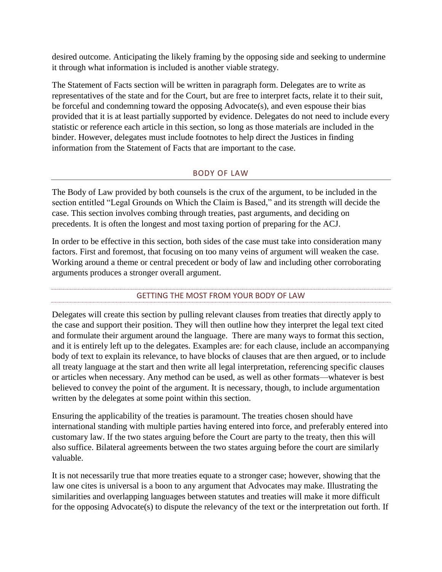desired outcome. Anticipating the likely framing by the opposing side and seeking to undermine it through what information is included is another viable strategy.

The Statement of Facts section will be written in paragraph form. Delegates are to write as representatives of the state and for the Court, but are free to interpret facts, relate it to their suit, be forceful and condemning toward the opposing Advocate(s), and even espouse their bias provided that it is at least partially supported by evidence. Delegates do not need to include every statistic or reference each article in this section, so long as those materials are included in the binder. However, delegates must include footnotes to help direct the Justices in finding information from the Statement of Facts that are important to the case.

### BODY OF LAW

<span id="page-6-0"></span>The Body of Law provided by both counsels is the crux of the argument, to be included in the section entitled "Legal Grounds on Which the Claim is Based," and its strength will decide the case. This section involves combing through treaties, past arguments, and deciding on precedents. It is often the longest and most taxing portion of preparing for the ACJ.

In order to be effective in this section, both sides of the case must take into consideration many factors. First and foremost, that focusing on too many veins of argument will weaken the case. Working around a theme or central precedent or body of law and including other corroborating arguments produces a stronger overall argument.

## GETTING THE MOST FROM YOUR BODY OF LAW

<span id="page-6-1"></span>Delegates will create this section by pulling relevant clauses from treaties that directly apply to the case and support their position. They will then outline how they interpret the legal text cited and formulate their argument around the language. There are many ways to format this section, and it is entirely left up to the delegates. Examples are: for each clause, include an accompanying body of text to explain its relevance, to have blocks of clauses that are then argued, or to include all treaty language at the start and then write all legal interpretation, referencing specific clauses or articles when necessary. Any method can be used, as well as other formats—whatever is best believed to convey the point of the argument. It is necessary, though, to include argumentation written by the delegates at some point within this section.

Ensuring the applicability of the treaties is paramount. The treaties chosen should have international standing with multiple parties having entered into force, and preferably entered into customary law. If the two states arguing before the Court are party to the treaty, then this will also suffice. Bilateral agreements between the two states arguing before the court are similarly valuable.

It is not necessarily true that more treaties equate to a stronger case; however, showing that the law one cites is universal is a boon to any argument that Advocates may make. Illustrating the similarities and overlapping languages between statutes and treaties will make it more difficult for the opposing Advocate(s) to dispute the relevancy of the text or the interpretation out forth. If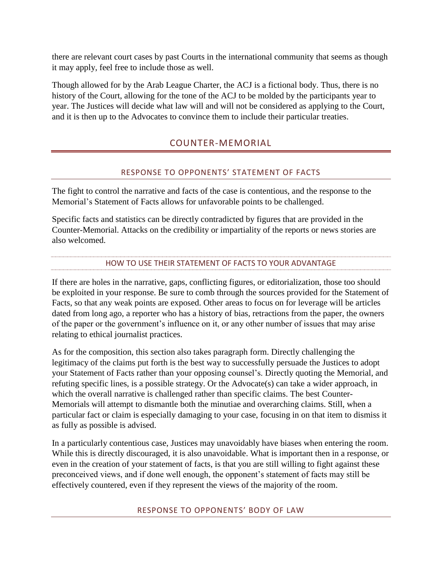there are relevant court cases by past Courts in the international community that seems as though it may apply, feel free to include those as well.

<span id="page-7-0"></span>Though allowed for by the Arab League Charter, the ACJ is a fictional body. Thus, there is no history of the Court, allowing for the tone of the ACJ to be molded by the participants year to year. The Justices will decide what law will and will not be considered as applying to the Court, and it is then up to the Advocates to convince them to include their particular treaties.

# COUNTER-MEMORIAL

## RESPONSE TO OPPONENTS' STATEMENT OF FACTS

<span id="page-7-1"></span>The fight to control the narrative and facts of the case is contentious, and the response to the Memorial's Statement of Facts allows for unfavorable points to be challenged.

Specific facts and statistics can be directly contradicted by figures that are provided in the Counter-Memorial. Attacks on the credibility or impartiality of the reports or news stories are also welcomed.

### HOW TO USE THEIR STATEMENT OF FACTS TO YOUR ADVANTAGE

<span id="page-7-2"></span>If there are holes in the narrative, gaps, conflicting figures, or editorialization, those too should be exploited in your response. Be sure to comb through the sources provided for the Statement of Facts, so that any weak points are exposed. Other areas to focus on for leverage will be articles dated from long ago, a reporter who has a history of bias, retractions from the paper, the owners of the paper or the government's influence on it, or any other number of issues that may arise relating to ethical journalist practices.

As for the composition, this section also takes paragraph form. Directly challenging the legitimacy of the claims put forth is the best way to successfully persuade the Justices to adopt your Statement of Facts rather than your opposing counsel's. Directly quoting the Memorial, and refuting specific lines, is a possible strategy. Or the Advocate(s) can take a wider approach, in which the overall narrative is challenged rather than specific claims. The best Counter-Memorials will attempt to dismantle both the minutiae and overarching claims. Still, when a particular fact or claim is especially damaging to your case, focusing in on that item to dismiss it as fully as possible is advised.

<span id="page-7-3"></span>In a particularly contentious case, Justices may unavoidably have biases when entering the room. While this is directly discouraged, it is also unavoidable. What is important then in a response, or even in the creation of your statement of facts, is that you are still willing to fight against these preconceived views, and if done well enough, the opponent's statement of facts may still be effectively countered, even if they represent the views of the majority of the room.

RESPONSE TO OPPONENTS' BODY OF LAW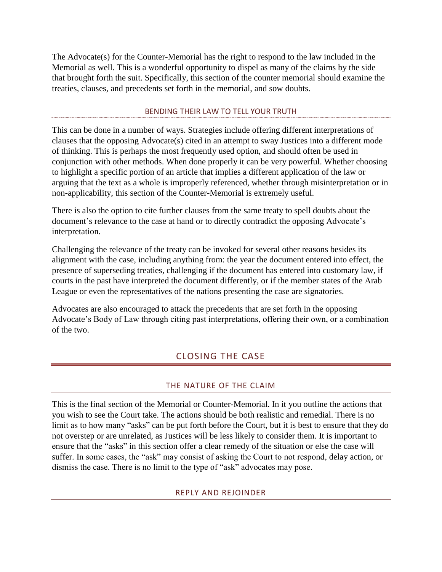The Advocate(s) for the Counter-Memorial has the right to respond to the law included in the Memorial as well. This is a wonderful opportunity to dispel as many of the claims by the side that brought forth the suit. Specifically, this section of the counter memorial should examine the treaties, clauses, and precedents set forth in the memorial, and sow doubts.

#### BENDING THEIR LAW TO TELL YOUR TRUTH

<span id="page-8-0"></span>This can be done in a number of ways. Strategies include offering different interpretations of clauses that the opposing Advocate(s) cited in an attempt to sway Justices into a different mode of thinking. This is perhaps the most frequently used option, and should often be used in conjunction with other methods. When done properly it can be very powerful. Whether choosing to highlight a specific portion of an article that implies a different application of the law or arguing that the text as a whole is improperly referenced, whether through misinterpretation or in non-applicability, this section of the Counter-Memorial is extremely useful.

There is also the option to cite further clauses from the same treaty to spell doubts about the document's relevance to the case at hand or to directly contradict the opposing Advocate's interpretation.

Challenging the relevance of the treaty can be invoked for several other reasons besides its alignment with the case, including anything from: the year the document entered into effect, the presence of superseding treaties, challenging if the document has entered into customary law, if courts in the past have interpreted the document differently, or if the member states of the Arab League or even the representatives of the nations presenting the case are signatories.

<span id="page-8-1"></span>Advocates are also encouraged to attack the precedents that are set forth in the opposing Advocate's Body of Law through citing past interpretations, offering their own, or a combination of the two.

# CLOSING THE CASE

#### THE NATURE OF THE CLAIM

<span id="page-8-3"></span><span id="page-8-2"></span>This is the final section of the Memorial or Counter-Memorial. In it you outline the actions that you wish to see the Court take. The actions should be both realistic and remedial. There is no limit as to how many "asks" can be put forth before the Court, but it is best to ensure that they do not overstep or are unrelated, as Justices will be less likely to consider them. It is important to ensure that the "asks" in this section offer a clear remedy of the situation or else the case will suffer. In some cases, the "ask" may consist of asking the Court to not respond, delay action, or dismiss the case. There is no limit to the type of "ask" advocates may pose.

#### REPLY AND REJOINDER